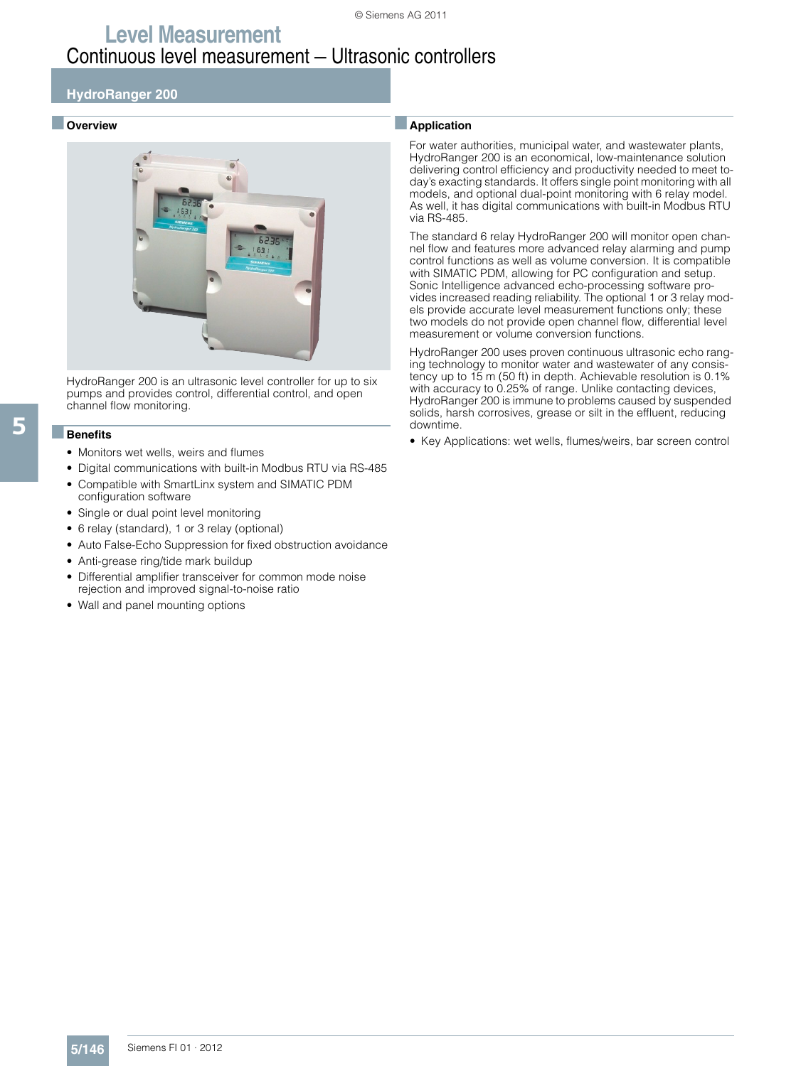### **HydroRanger 200**

### ■ **Overview**



HydroRanger 200 is an ultrasonic level controller for up to six pumps and provides control, differential control, and open channel flow monitoring.

#### ■**Benefits**

- Monitors wet wells, weirs and flumes
- Digital communications with built-in Modbus RTU via RS-485
- Compatible with SmartLinx system and SIMATIC PDM configuration software
- Single or dual point level monitoring
- 6 relay (standard), 1 or 3 relay (optional)
- Auto False-Echo Suppression for fixed obstruction avoidance
- Anti-grease ring/tide mark buildup
- Differential amplifier transceiver for common mode noise rejection and improved signal-to-noise ratio
- Wall and panel mounting options

#### ■**Application**

For water authorities, municipal water, and wastewater plants, HydroRanger 200 is an economical, low-maintenance solution delivering control efficiency and productivity needed to meet today's exacting standards. It offers single point monitoring with all models, and optional dual-point monitoring with 6 relay model. As well, it has digital communications with built-in Modbus RTU via RS-485.

The standard 6 relay HydroRanger 200 will monitor open channel flow and features more advanced relay alarming and pump control functions as well as volume conversion. It is compatible with SIMATIC PDM, allowing for PC configuration and setup. Sonic Intelligence advanced echo-processing software provides increased reading reliability. The optional 1 or 3 relay models provide accurate level measurement functions only; these two models do not provide open channel flow, differential level measurement or volume conversion functions.

HydroRanger 200 uses proven continuous ultrasonic echo ranging technology to monitor water and wastewater of any consistency up to 15 m (50 ft) in depth. Achievable resolution is 0.1% with accuracy to 0.25% of range. Unlike contacting devices, HydroRanger 200 is immune to problems caused by suspended solids, harsh corrosives, grease or silt in the effluent, reducing downtime.

• Key Applications: wet wells, flumes/weirs, bar screen control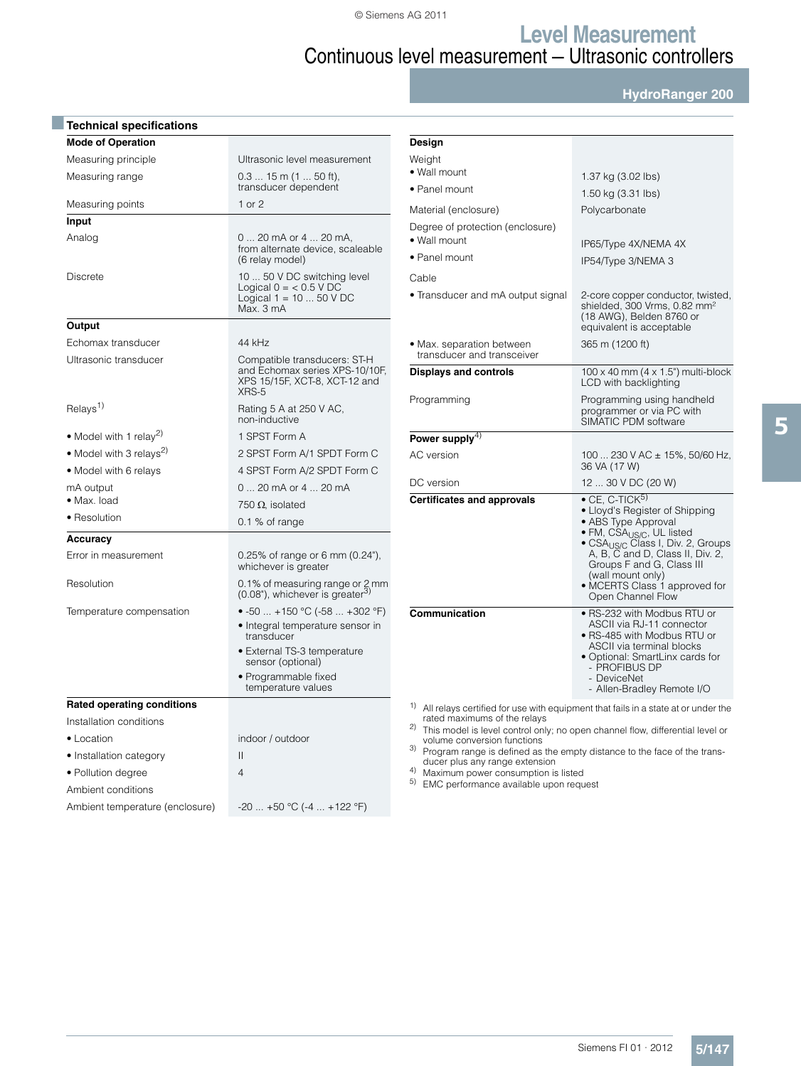**HydroRanger 200**

| <b>Technical specifications</b>     |                                                                                                          |  |  |  |
|-------------------------------------|----------------------------------------------------------------------------------------------------------|--|--|--|
| <b>Mode of Operation</b>            |                                                                                                          |  |  |  |
| Measuring principle                 | Ultrasonic level measurement                                                                             |  |  |  |
| Measuring range                     | $0.315$ m (1  50 ft),<br>transducer dependent                                                            |  |  |  |
| Measuring points                    | $1$ or $2$                                                                                               |  |  |  |
| Input                               |                                                                                                          |  |  |  |
| Analog                              | 0  20 mA or 4  20 mA,<br>from alternate device, scaleable<br>(6 relay model)                             |  |  |  |
| <b>Discrete</b>                     | 10  50 V DC switching level<br>Logical $0 = 6.5$ V DC<br>Logical $1 = 10  50 V DC$<br>Max. 3 mA          |  |  |  |
| Output                              |                                                                                                          |  |  |  |
| Echomax transducer                  | 44 kHz                                                                                                   |  |  |  |
| Ultrasonic transducer               | Compatible transducers: ST-H<br>and Echomax series XPS-10/10F,<br>XPS 15/15F, XCT-8, XCT-12 and<br>XRS-5 |  |  |  |
| Relays <sup>1)</sup>                | Rating 5 A at 250 V AC,<br>non-inductive                                                                 |  |  |  |
| • Model with 1 relay <sup>2)</sup>  | 1 SPST Form A                                                                                            |  |  |  |
| • Model with 3 relays <sup>2)</sup> | 2 SPST Form A/1 SPDT Form C                                                                              |  |  |  |
| • Model with 6 relays               | 4 SPST Form A/2 SPDT Form C                                                                              |  |  |  |
| mA output                           | 0  20 mA or 4  20 mA                                                                                     |  |  |  |
| · Max. load                         | 750 $\Omega$ , isolated                                                                                  |  |  |  |
| • Resolution                        | $0.1\%$ of range                                                                                         |  |  |  |
| Accuracy                            |                                                                                                          |  |  |  |
| Error in measurement                | 0.25% of range or 6 mm (0.24"),<br>whichever is greater                                                  |  |  |  |
| Resolution                          | 0.1% of measuring range or 2 mm<br>(0.08"), whichever is greater <sup>3)</sup>                           |  |  |  |
| Temperature compensation            | • $-50$ $+150$ °C ( $-58$ $+302$ °F)                                                                     |  |  |  |
|                                     | • Integral temperature sensor in<br>transducer                                                           |  |  |  |
|                                     | • External TS-3 temperature<br>sensor (optional)                                                         |  |  |  |
|                                     | • Programmable fixed<br>temperature values                                                               |  |  |  |
| <b>Rated operating conditions</b>   |                                                                                                          |  |  |  |
| Installation conditions             |                                                                                                          |  |  |  |
| • Location                          | indoor / outdoor                                                                                         |  |  |  |
| • Installation category             | Ш                                                                                                        |  |  |  |
| • Pollution degree                  | 4                                                                                                        |  |  |  |
| Ambient conditions                  |                                                                                                          |  |  |  |
| Ambient temperature (enclosure)     | $-20+50$ °C (-4  +122 °F)                                                                                |  |  |  |

| Design                                                                                                                                |                                                                                                                                                                                                                                                                                                                                   |  |  |
|---------------------------------------------------------------------------------------------------------------------------------------|-----------------------------------------------------------------------------------------------------------------------------------------------------------------------------------------------------------------------------------------------------------------------------------------------------------------------------------|--|--|
| Weight                                                                                                                                |                                                                                                                                                                                                                                                                                                                                   |  |  |
| • Wall mount                                                                                                                          | 1.37 kg (3.02 lbs)                                                                                                                                                                                                                                                                                                                |  |  |
| • Panel mount                                                                                                                         | 1.50 kg (3.31 lbs)                                                                                                                                                                                                                                                                                                                |  |  |
| Material (enclosure)                                                                                                                  | Polycarbonate                                                                                                                                                                                                                                                                                                                     |  |  |
| Degree of protection (enclosure)<br>· Wall mount                                                                                      | IP65/Type 4X/NEMA 4X                                                                                                                                                                                                                                                                                                              |  |  |
| • Panel mount                                                                                                                         | IP54/Type 3/NEMA 3                                                                                                                                                                                                                                                                                                                |  |  |
| Cable                                                                                                                                 |                                                                                                                                                                                                                                                                                                                                   |  |  |
| • Transducer and mA output signal                                                                                                     | 2-core copper conductor, twisted,<br>shielded, 300 Vrms, 0.82 mm <sup>2</sup><br>(18 AWG), Belden 8760 or<br>equivalent is acceptable                                                                                                                                                                                             |  |  |
| • Max. separation between<br>transducer and transceiver                                                                               | 365 m (1200 ft)                                                                                                                                                                                                                                                                                                                   |  |  |
| <b>Displays and controls</b>                                                                                                          | $100 \times 40$ mm $(4 \times 1.5)$ " multi-block<br>LCD with backlighting                                                                                                                                                                                                                                                        |  |  |
| Programming                                                                                                                           | Programming using handheld<br>programmer or via PC with<br>SIMATIC PDM software                                                                                                                                                                                                                                                   |  |  |
| Power supply $^{4)}$                                                                                                                  |                                                                                                                                                                                                                                                                                                                                   |  |  |
| AC version                                                                                                                            | 100  230 V AC $\pm$ 15%, 50/60 Hz,<br>36 VA (17 W)                                                                                                                                                                                                                                                                                |  |  |
| DC version                                                                                                                            | 12  30 V DC (20 W)                                                                                                                                                                                                                                                                                                                |  |  |
| <b>Certificates and approvals</b>                                                                                                     | $\bullet$ CE, C-TICK <sup>5)</sup><br>• Lloyd's Register of Shipping<br>• ABS Type Approval<br>· FM, CSA <sub>US/C</sub> , UL listed<br>• CSA <sub>US/C</sub> Class I, Div. 2, Groups<br>A, B, C and D, Class II, Div. 2,<br>Groups F and G, Class III<br>(wall mount only)<br>• MCERTS Class 1 approved for<br>Open Channel Flow |  |  |
| Communication                                                                                                                         | • RS-232 with Modbus RTU or<br>ASCII via RJ-11 connector<br>• RS-485 with Modbus RTU or<br><b>ASCII via terminal blocks</b><br>· Optional: SmartLinx cards for<br>- PROFIBUS DP<br>- DeviceNet<br>- Allen-Bradley Remote I/O                                                                                                      |  |  |
| <sup>1)</sup> All relays certified for use with equipment that fails in a state at or under the<br>rated maximums of the relays<br>2) | This model is level control only: no open channel flow differential level or                                                                                                                                                                                                                                                      |  |  |

rated maximums of the relays<br>
2) This model is level control only; no open channel flow, differential level or<br>
2) volume conversion functions<br>
3) Program range is defined as the empty distance to the face of the trans-<br>
d

<sup>5)</sup> EMC performance available upon request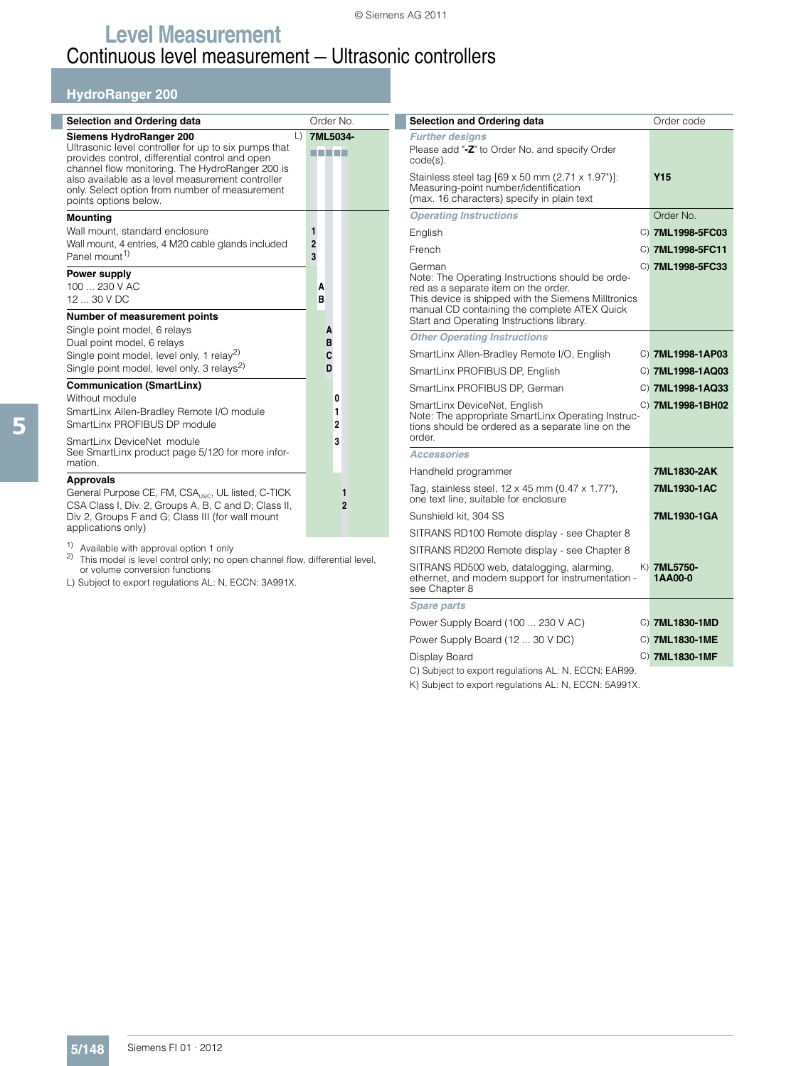### **HydroRanger 200**

| <b>Selection and Ordering data</b>                                                                                                                                                                                                                                                                                             | Order No.                |
|--------------------------------------------------------------------------------------------------------------------------------------------------------------------------------------------------------------------------------------------------------------------------------------------------------------------------------|--------------------------|
| Siemens HydroRanger 200<br>$\Box$<br>Ultrasonic level controller for up to six pumps that<br>provides control, differential control and open<br>channel flow monitoring. The HydroRanger 200 is<br>also available as a level measurement controller<br>only. Select option from number of measurement<br>points options below. | 7ML5034-<br>3 T 3 H 3    |
| <b>Mounting</b><br>Wall mount, standard enclosure<br>Wall mount, 4 entries, 4 M20 cable glands included<br>Panel mount <sup>1)</sup>                                                                                                                                                                                           | 1<br>$\overline{2}$<br>3 |
| Power supply<br>100 230 V AC<br>12  30 V DC                                                                                                                                                                                                                                                                                    | A<br>B                   |
| Number of measurement points<br>Single point model, 6 relays<br>Dual point model, 6 relays<br>Single point model, level only, 1 relay <sup>2)</sup><br>Single point model, level only, 3 relays <sup>2)</sup>                                                                                                                  | A<br>B<br>C<br>D         |
| <b>Communication (SmartLinx)</b><br>Without module<br>SmartLinx Allen-Bradley Remote I/O module<br>SmartLinx PROFIBUS DP module                                                                                                                                                                                                | 0<br>1<br>$\overline{2}$ |
| SmartLinx DeviceNet module<br>See SmartLinx product page 5/120 for more infor-<br>mation.                                                                                                                                                                                                                                      | 3                        |
| <b>Approvals</b><br>General Purpose CE, FM, CSA <sub>USC</sub> , UL listed, C-TICK<br>CSA Class I, Div. 2, Groups A, B, C and D; Class II,<br>Div 2, Groups F and G; Class III (for wall mount                                                                                                                                 | 1<br>$\overline{2}$      |

Div 2, Groups F and G; Class III (for wall mount applications only)

1) Available with approval option 1 only

2) This model is level control only; no open channel flow, differential level, or volume conversion functions

L) Subject to export regulations AL: N, ECCN: 3A991X.

| Selection and Ordering data                                                                                                                                                                                                                            |  | Order code             |
|--------------------------------------------------------------------------------------------------------------------------------------------------------------------------------------------------------------------------------------------------------|--|------------------------|
| <b>Further designs</b><br>Please add "-Z" to Order No. and specify Order<br>code(s).                                                                                                                                                                   |  |                        |
| Stainless steel tag [69 x 50 mm (2.71 x 1.97")]:<br>Measuring-point number/identification<br>(max. 16 characters) specify in plain text                                                                                                                |  | Y <sub>15</sub>        |
| <b>Operating Instructions</b>                                                                                                                                                                                                                          |  | Order No.              |
| English                                                                                                                                                                                                                                                |  | C) 7ML1998-5FC03       |
| French                                                                                                                                                                                                                                                 |  | C) 7ML1998-5FC11       |
| German<br>Note: The Operating Instructions should be orde-<br>red as a separate item on the order.<br>This device is shipped with the Siemens Milltronics<br>manual CD containing the complete ATEX Quick<br>Start and Operating Instructions library. |  | C) 7ML1998-5FC33       |
| <b>Other Operating Instructions</b>                                                                                                                                                                                                                    |  |                        |
| SmartLinx Allen-Bradley Remote I/O, English                                                                                                                                                                                                            |  | C) 7ML1998-1AP03       |
| SmartLinx PROFIBUS DP, English                                                                                                                                                                                                                         |  | C) 7ML1998-1AQ03       |
| SmartLinx PROFIBUS DP. German                                                                                                                                                                                                                          |  | C) 7ML1998-1AQ33       |
| SmartLinx DeviceNet, English<br>Note: The appropriate SmartLinx Operating Instruc-<br>tions should be ordered as a separate line on the<br>order.                                                                                                      |  | C) 7ML1998-1BH02       |
| Accessories                                                                                                                                                                                                                                            |  |                        |
| Handheld programmer                                                                                                                                                                                                                                    |  | 7ML1830-2AK            |
| Tag, stainless steel, 12 x 45 mm (0.47 x 1.77").<br>one text line, suitable for enclosure                                                                                                                                                              |  | 7ML1930-1AC            |
| Sunshield kit, 304 SS                                                                                                                                                                                                                                  |  | 7ML1930-1GA            |
| SITRANS RD100 Remote display - see Chapter 8                                                                                                                                                                                                           |  |                        |
| SITRANS RD200 Remote display - see Chapter 8                                                                                                                                                                                                           |  |                        |
| SITRANS RD500 web, datalogging, alarming,<br>ethernet, and modem support for instrumentation -<br>see Chapter 8                                                                                                                                        |  | K) 7ML5750-<br>1AA00-0 |
| <b>Spare parts</b>                                                                                                                                                                                                                                     |  |                        |
| Power Supply Board (100  230 V AC)                                                                                                                                                                                                                     |  | C) 7ML1830-1MD         |
| Power Supply Board (12  30 V DC)                                                                                                                                                                                                                       |  | C) 7ML1830-1ME         |
| Display Board                                                                                                                                                                                                                                          |  | C) 7ML1830-1MF         |

C) Subject to export regulations AL: N, ECCN: EAR99.

K) Subject to export regulations AL: N, ECCN: 5A991X.